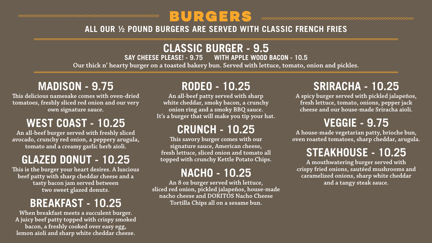#### BURGERS  $\hspace{0.1cm} \diamond \hspace{0.1cm} \diamond \hspace{0.1cm} \diamond \hspace{0.1cm} \diamond \hspace{0.1cm} \diamond \hspace{0.1cm} \diamond \hspace{0.1cm} \diamond \hspace{0.1cm} \diamond \hspace{0.1cm} \diamond \hspace{0.1cm} \diamond \hspace{0.1cm} \diamond \hspace{0.1cm} \diamond \hspace{0.1cm} \diamond \hspace{0.1cm} \diamond \hspace{0.1cm} \diamond \hspace{0.1cm} \diamond \hspace{0.1cm} \diamond \hspace{0.1cm} \diamond \hspace{0.1cm} \diamond \hspace{0.1cm} \diamond$ **ALL OUR ½ POUND BURGERS ARE SERVED WITH CLASSIC FRENCH FRIES**

#### **MADISON - 9.75**

**This delicious namesake comes with oven-dried tomatoes, freshly sliced red onion and our very own signature sauce.**

#### **WEST COAST - 10.25**

**An all-beef burger served with freshly sliced avocado, crunchy red onion, a peppery arugula, tomato and a creamy garlic herb aïoli.** 

#### **GLAZED DONUT - 10.25**

**This is the burger your heart desires. A luscious beef patty with sharp cheddar cheese and a tasty bacon jam served between two sweet glazed donuts.** 

#### **BREAKFAST - 10.25**

**When breakfast meets a succulent burger. A juicy beef patty topped with crispy smoked bacon, a freshly cooked over easy egg, lemon aïoli and sharp white cheddar cheese.**

# **RODEO - 10.25**

**An all-beef patty served with sharp white cheddar, smoky bacon, a crunchy onion ring and a smoky BBQ sauce. It's a burger that will make you tip your hat.** 

#### **CRUNCH - 10.25**

**CLASSIC BURGER - 9.5**<br>SAY CHEESE PLEASE! - 9.75 WITH APPLE WOOD **WITH APPLE WOOD BACON - 10.5 Our thick n' hearty burger on a toasted bakery bun. Served with lettuce, tomato, onion and pickles.**

> **This savory burger comes with our signature sauce, American cheese, fresh lettuce, sliced onion and tomato all topped with crunchy Kettle Potato Chips.**

### **NACHO - 10.25**

**An 8 oz burger served with lettuce, sliced red onion, pickled jalapeños, house-made nacho cheese and DORITOS Nacho Cheese Tortilla Chips all on a sesame bun.**

# **SRIRACHA - 10.25**

**A spicy burger served with pickled jalapeños, fresh lettuce, tomato, onions, pepper jack cheese and our house-made Sriracha aïoli.**

# **VEGGIE - 9.75**

**A house-made vegetarian patty, brioche bun, oven roasted tomatoes, sharp cheddar, arugula.** 

#### **STEAKHOUSE - 10.25**

**A mouthwatering burger served with crispy fried onions, sautéed mushrooms and caramelized onions, sharp white cheddar and a tangy steak sauce.** 

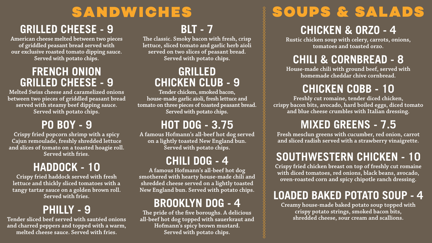# SANDWICHES

### **GRILLED CHEESE - 9**

**American cheese melted between two pieces of griddled peasant bread served with our exclusive roasted tomato dipping sauce. Served with potato chips.**

#### **FRENCH ONION GRILLED CHEESE - 9**

**Melted Swiss cheese and caramelized onions between two pieces of griddled peasant bread served with steamy beef dipping sauce. Served with potato chips.**

#### **PO BOY - 9**

**Crispy fried popcorn shrimp with a spicy Cajun remoulade, freshly shredded lettuce and slices of tomato on a toasted hoagie roll. Served with fries.**

### **HADDOCK - 10**

**Crispy fried haddock served with fresh lettuce and thickly sliced tomatoes with a tangy tartar sauce on a golden brown roll. Served with fries.**

#### **PHILLY - 9**

**Tender sliced beef served with sautéed onions and charred peppers and topped with a warm, melted cheese sauce. Served with fries.**

# **BLT - 7**

**The classic. Smoky bacon with fresh, crisp lettuce, sliced tomato and garlic herb aïoli served on two slices of peasant bread. Served with potato chips.**

#### **GRILLED CHICKEN CLUB - 9**

**Tender chicken, smoked bacon, house-made garlic aïoli, fresh lettuce and tomato on three pieces of toasted peasant bread. Served with potato chips.**

# **HOT DOG - 3.75**

**A famous Hofmann's all-beef hot dog served on a lightly toasted New England bun. Served with potato chips.**

## **CHILI DOG - 4**

**A famous Hofmann's all-beef hot dog smothered with hearty house-made chili and shredded cheese served on a lightly toasted New England bun. Served with potato chips.**

# **BROOKLYN DOG - 4**

**The pride of the five boroughs. A delicious all-beef hot dog topped with sauerkraut and Hofmann's spicy brown mustard. Served with potato chips.**

# SOUPS & SALADS

# **CHICKEN & ORZO - 4**

**Rustic chicken soup with celery, carrots, onions, tomatoes and toasted orzo.**

# **CHILI & CORNBREAD - 8**

**House-made chili with ground beef, served with homemade cheddar chive cornbread.** 

# **CHICKEN COBB - 10**

**Freshly cut romaine, tender diced chicken, crispy bacon bits, avocado, hard boiled eggs, diced tomato and blue cheese crumbles with Italian dressing.**

# **MIXED GREENS - 7.5**

**Fresh mesclun greens with cucumber, red onion, carrot and sliced radish served with a strawberry vinaigrette.**

# **SOUTHWESTERN CHICKEN - 10**

**Crispy fried chicken breast on top of freshly cut romaine with diced tomatoes, red onions, black beans, avocado, oven-roasted corn and spicy chipotle ranch dressing.** 

### **LOADED BAKED POTATO SOUP - 4**

**Creamy house-made baked potato soup topped with crispy potato strings, smoked bacon bits, shredded cheese, sour cream and scallions.**

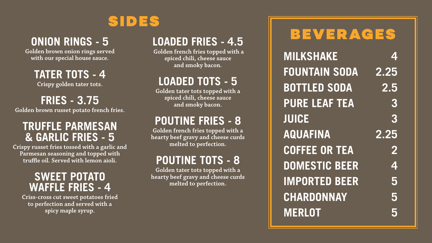# BEVERAGES



**ONION RINGS - 5**

**Golden brown onion rings served with our special house sauce.**

**TATER TOTS - 4 Crispy golden tater tots.**

**FRIES - 3.75** 

**Golden brown russet potato french fries.**

#### **TRUFFLE PARMESAN & GARLIC FRIES - 5**

**Crispy russet fries tossed with a garlic and Parmesan seasoning and topped with truffle oil. Served with lemon aïoli.**

#### **SWEET POTATO WAFFLE FRIES - 4**

**Criss-cross cut sweet potatoes fried to perfection and served with a spicy maple syrup.** 

### **LOADED FRIES - 4.5**

**Golden french fries topped with a spiced chili, cheese sauce and smoky bacon.** 

### **LOADED TOTS - 5**

**Golden tater tots topped with a spiced chili, cheese sauce and smoky bacon.** 

### **POUTINE FRIES - 8**

**Golden french fries topped with a hearty beef gravy and cheese curds melted to perfection.**

#### **POUTINE TOTS - 8**

**Golden tater tots topped with a hearty beef gravy and cheese curds melted to perfection.**

**MILKSHAKE 4 FOUNTAIN SODA 2.25 BOTTLED SODA 2.5 PURE LEAF TEA 3 JUICE 3 AQUAFINA 2.25 COFFEE OR TEA 2 DOMESTIC BEER 4 IMPORTED BEER 5 CHARDONNAY 5 MERLOT 5**